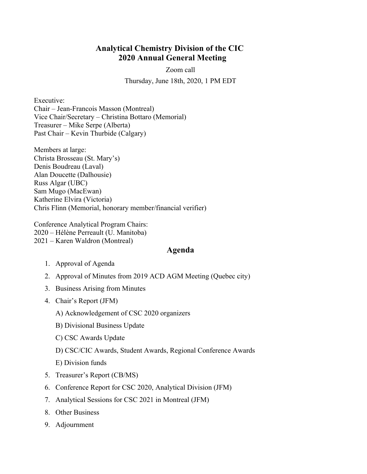# **Analytical Chemistry Division of the CIC 2020 Annual General Meeting**

Zoom call Thursday, June 18th, 2020, 1 PM EDT

Executive: Chair – Jean-Francois Masson (Montreal) Vice Chair/Secretary – Christina Bottaro (Memorial) Treasurer – Mike Serpe (Alberta) Past Chair – Kevin Thurbide (Calgary)

Members at large: Christa Brosseau (St. Mary's) Denis Boudreau (Laval) Alan Doucette (Dalhousie) Russ Algar (UBC) Sam Mugo (MacEwan) Katherine Elvira (Victoria) Chris Flinn (Memorial, honorary member/financial verifier)

Conference Analytical Program Chairs: 2020 – Hélѐne Perreault (U. Manitoba) 2021 – Karen Waldron (Montreal)

# **Agenda**

- 1. Approval of Agenda
- 2. Approval of Minutes from 2019 ACD AGM Meeting (Quebec city)
- 3. Business Arising from Minutes
- 4. Chair's Report (JFM)
	- A) Acknowledgement of CSC 2020 organizers
	- B) Divisional Business Update
	- C) CSC Awards Update
	- D) CSC/CIC Awards, Student Awards, Regional Conference Awards
	- E) Division funds
- 5. Treasurer's Report (CB/MS)
- 6. Conference Report for CSC 2020, Analytical Division (JFM)
- 7. Analytical Sessions for CSC 2021 in Montreal (JFM)
- 8. Other Business
- 9. Adjournment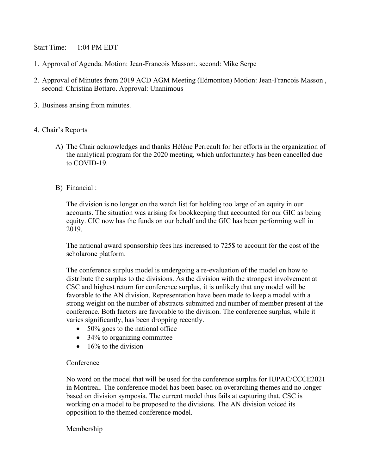Start Time: 1:04 PM EDT

- 1. Approval of Agenda. Motion: Jean-Francois Masson:, second: Mike Serpe
- 2. Approval of Minutes from 2019 ACD AGM Meeting (Edmonton) Motion: Jean-Francois Masson , second: Christina Bottaro. Approval: Unanimous
- 3. Business arising from minutes.

#### 4. Chair's Reports

A) The Chair acknowledges and thanks Hélène Perreault for her efforts in the organization of the analytical program for the 2020 meeting, which unfortunately has been cancelled due to COVID-19.

#### B) Financial :

The division is no longer on the watch list for holding too large of an equity in our accounts. The situation was arising for bookkeeping that accounted for our GIC as being equity. CIC now has the funds on our behalf and the GIC has been performing well in 2019.

The national award sponsorship fees has increased to 725\$ to account for the cost of the scholarone platform.

The conference surplus model is undergoing a re-evaluation of the model on how to distribute the surplus to the divisions. As the division with the strongest involvement at CSC and highest return for conference surplus, it is unlikely that any model will be favorable to the AN division. Representation have been made to keep a model with a strong weight on the number of abstracts submitted and number of member present at the conference. Both factors are favorable to the division. The conference surplus, while it varies significantly, has been dropping recently.

- 50% goes to the national office
- 34% to organizing committee
- $\bullet$  16% to the division

#### Conference

No word on the model that will be used for the conference surplus for IUPAC/CCCE2021 in Montreal. The conference model has been based on overarching themes and no longer based on division symposia. The current model thus fails at capturing that. CSC is working on a model to be proposed to the divisions. The AN division voiced its opposition to the themed conference model.

#### Membership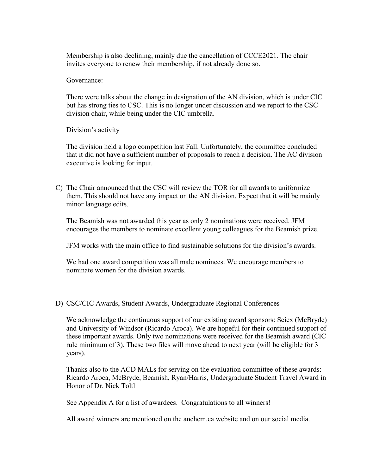Membership is also declining, mainly due the cancellation of CCCE2021. The chair invites everyone to renew their membership, if not already done so.

Governance:

There were talks about the change in designation of the AN division, which is under CIC but has strong ties to CSC. This is no longer under discussion and we report to the CSC division chair, while being under the CIC umbrella.

Division's activity

The division held a logo competition last Fall. Unfortunately, the committee concluded that it did not have a sufficient number of proposals to reach a decision. The AC division executive is looking for input.

C) The Chair announced that the CSC will review the TOR for all awards to uniformize them. This should not have any impact on the AN division. Expect that it will be mainly minor language edits.

The Beamish was not awarded this year as only 2 nominations were received. JFM encourages the members to nominate excellent young colleagues for the Beamish prize.

JFM works with the main office to find sustainable solutions for the division's awards.

We had one award competition was all male nominees. We encourage members to nominate women for the division awards.

D) CSC/CIC Awards, Student Awards, Undergraduate Regional Conferences

We acknowledge the continuous support of our existing award sponsors: Sciex (McBryde) and University of Windsor (Ricardo Aroca). We are hopeful for their continued support of these important awards. Only two nominations were received for the Beamish award (CIC rule minimum of 3). These two files will move ahead to next year (will be eligible for 3 years).

Thanks also to the ACD MALs for serving on the evaluation committee of these awards: Ricardo Aroca, McBryde, Beamish, Ryan/Harris, Undergraduate Student Travel Award in Honor of Dr. Nick Toltl

See Appendix A for a list of awardees. Congratulations to all winners!

All award winners are mentioned on the anchem.ca website and on our social media.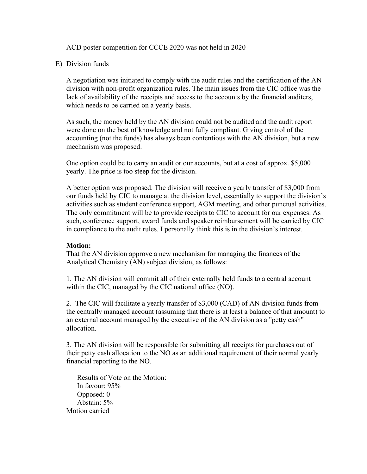ACD poster competition for CCCE 2020 was not held in 2020

### E) Division funds

A negotiation was initiated to comply with the audit rules and the certification of the AN division with non-profit organization rules. The main issues from the CIC office was the lack of availability of the receipts and access to the accounts by the financial auditers, which needs to be carried on a yearly basis.

As such, the money held by the AN division could not be audited and the audit report were done on the best of knowledge and not fully compliant. Giving control of the accounting (not the funds) has always been contentious with the AN division, but a new mechanism was proposed.

One option could be to carry an audit or our accounts, but at a cost of approx. \$5,000 yearly. The price is too steep for the division.

A better option was proposed. The division will receive a yearly transfer of \$3,000 from our funds held by CIC to manage at the division level, essentially to support the division's activities such as student conference support, AGM meeting, and other punctual activities. The only commitment will be to provide receipts to CIC to account for our expenses. As such, conference support, award funds and speaker reimbursement will be carried by CIC in compliance to the audit rules. I personally think this is in the division's interest.

## **Motion:**

That the AN division approve a new mechanism for managing the finances of the Analytical Chemistry (AN) subject division, as follows:

1. The AN division will commit all of their externally held funds to a central account within the CIC, managed by the CIC national office (NO).

2. The CIC will facilitate a yearly transfer of \$3,000 (CAD) of AN division funds from the centrally managed account (assuming that there is at least a balance of that amount) to an external account managed by the executive of the AN division as a "petty cash" allocation.

3. The AN division will be responsible for submitting all receipts for purchases out of their petty cash allocation to the NO as an additional requirement of their normal yearly financial reporting to the NO.

Results of Vote on the Motion: In favour: 95% Opposed: 0 Abstain: 5% Motion carried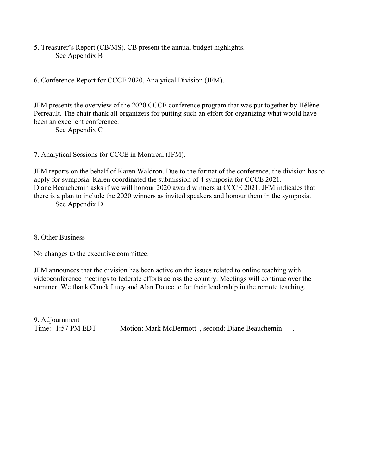5. Treasurer's Report (CB/MS). CB present the annual budget highlights. See Appendix B

6. Conference Report for CCCE 2020, Analytical Division (JFM).

JFM presents the overview of the 2020 CCCE conference program that was put together by Hélène Perreault. The chair thank all organizers for putting such an effort for organizing what would have been an excellent conference.

See Appendix C

7. Analytical Sessions for CCCE in Montreal (JFM).

JFM reports on the behalf of Karen Waldron. Due to the format of the conference, the division has to apply for symposia. Karen coordinated the submission of 4 symposia for CCCE 2021. Diane Beauchemin asks if we will honour 2020 award winners at CCCE 2021. JFM indicates that there is a plan to include the 2020 winners as invited speakers and honour them in the symposia. See Appendix D

8. Other Business

No changes to the executive committee.

JFM announces that the division has been active on the issues related to online teaching with videoconference meetings to federate efforts across the country. Meetings will continue over the summer. We thank Chuck Lucy and Alan Doucette for their leadership in the remote teaching.

9. Adjournment

Time: 1:57 PM EDT Motion: Mark McDermott, second: Diane Beauchemin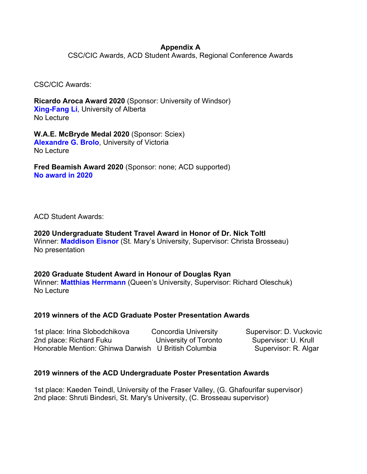### **Appendix A**

CSC/CIC Awards, ACD Student Awards, Regional Conference Awards

CSC/CIC Awards:

**Ricardo Aroca Award 2020** (Sponsor: University of Windsor) **Xing-Fang Li**, University of Alberta No Lecture

**W.A.E. McBryde Medal 2020** (Sponsor: Sciex) **Alexandre G. Brolo**, University of Victoria No Lecture

**Fred Beamish Award 2020** (Sponsor: none; ACD supported) **No award in 2020**

ACD Student Awards:

**2020 Undergraduate Student Travel Award in Honor of Dr. Nick Toltl** Winner: **Maddison Eisnor** (St. Mary's University, Supervisor: Christa Brosseau) No presentation

## **2020 Graduate Student Award in Honour of Douglas Ryan**

Winner: **Matthias Herrmann** (Queen's University, Supervisor: Richard Oleschuk) No Lecture

## **2019 winners of the ACD Graduate Poster Presentation Awards**

1st place: Irina Slobodchikova Concordia University Supervisor: D. Vuckovic 2nd place: Richard Fuku University of Toronto Supervisor: U. Krull Honorable Mention: Ghinwa Darwish U British Columbia Supervisor: R. Algar

## **2019 winners of the ACD Undergraduate Poster Presentation Awards**

1st place: Kaeden Teindl, University of the Fraser Valley, (G. Ghafourifar supervisor) 2nd place: Shruti Bindesri, St. Mary's University, (C. Brosseau supervisor)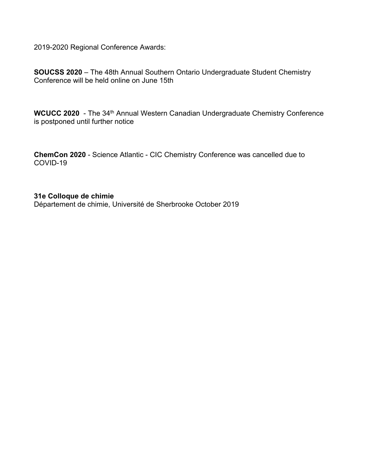2019-2020 Regional Conference Awards:

**SOUCSS 2020** – The 48th Annual Southern Ontario Undergraduate Student Chemistry Conference will be held online on June 15th

**WCUCC 2020** - The 34<sup>th</sup> Annual Western Canadian Undergraduate Chemistry Conference is postponed until further notice

**ChemCon 2020** - Science Atlantic - CIC Chemistry Conference was cancelled due to COVID-19

### **31e Colloque de chimie**

Département de chimie, Université de Sherbrooke October 2019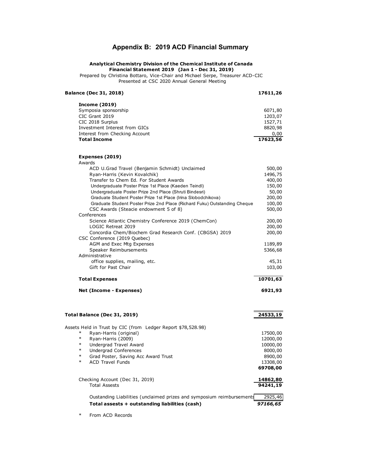### **Appendix B: 2019 ACD Financial Summary**

#### **Analytical Chemistry Division of the Chemical Institute of Canada Financial Statement 2019 (Jan 1 - Dec 31, 2019)**

Prepared by Christina Bottaro, Vice-Chair and Michael Serpe, Treasurer ACD-CIC Presented at CSC 2020 Annual General Meeting

#### **Balance (Dec 31, 2018) 17611,26**

| <b>Income (2019)</b>           |          |
|--------------------------------|----------|
| Symposia sponsorship           | 6071,80  |
| CIC Grant 2019                 | 1203,07  |
| CIC 2018 Surplus               | 1527.71  |
| Investment Interest from GICs  | 8820,98  |
| Interest from Checking Account | 0,00     |
| <b>Total Income</b>            | 17623,56 |

#### **Expenses (2019)**

| Awards                                                                    |          |
|---------------------------------------------------------------------------|----------|
| ACD U.Grad Travel (Benjamin Schmidt) Unclaimed                            | 500,00   |
| Ryan-Harris (Kevin Kovalchik)                                             | 1496,75  |
| Transfer to Chem Ed. For Student Awards                                   | 400,00   |
| Undergraduate Poster Prize 1st Place (Kaeden Teindl)                      | 150,00   |
| Undergraduate Poster Prize 2nd Place (Shruti Bindesri)                    | 50,00    |
| Graduate Student Poster Prize 1st Place (Irina Slobodchikova)             | 200,00   |
| Graduate Student Poster Prize 2nd Place (Richard Fuku) Outstanding Cheque | 100,00   |
| CSC Awards (Steacie endowment 5 of 8)                                     | 500,00   |
| Conferences                                                               |          |
| Science Atlantic Chemistry Conference 2019 (ChemCon)                      | 200,00   |
| LOGIC Retreat 2019                                                        | 200,00   |
| Concordia Chem/Biochem Grad Research Conf. (CBGSA) 2019                   | 200,00   |
| CSC Conference (2019 Quebec)                                              |          |
| AGM and Exec Mtg Expenses                                                 | 1189,89  |
| Speaker Reimbursements                                                    | 5366,68  |
| Administrative                                                            |          |
| office supplies, mailing, etc.                                            | 45,31    |
| Gift for Past Chair                                                       | 103,00   |
| <b>Total Expenses</b>                                                     | 10701,63 |
| Net (Income - Expenses)                                                   | 6921,93  |
|                                                                           |          |
| Total Balance (Dec 31, 2019)                                              | 24533,19 |
| Assets Held in Trust by CIC (from Ledger Report \$78,528.98)              |          |
| $\ast$<br>Ryan-Harris (original)                                          | 17500,00 |
| $\ast$<br>Ryan-Harris (2009)                                              | 12000,00 |
| $\ast$<br>Undergrad Travel Award                                          | 10000,00 |
| $\ast$<br><b>Undergrad Conferences</b>                                    | 8000,00  |
| Grad Poster, Saving Acc Award Trust<br>$\ast$                             | 8900,00  |
| $\ast$<br><b>ACD Travel Funds</b>                                         | 13308,00 |

**69708,00** Checking Account (Dec 31, 2019) **14862,80**<br>
Total Assests **14862,80** Total Assests Oustanding Liabilities (unclaimed prizes and symposium reimbursements<sup>2925,46</sup>

**Total assests + outstanding liabilities (cash)** *97166,65*

\* From ACD Records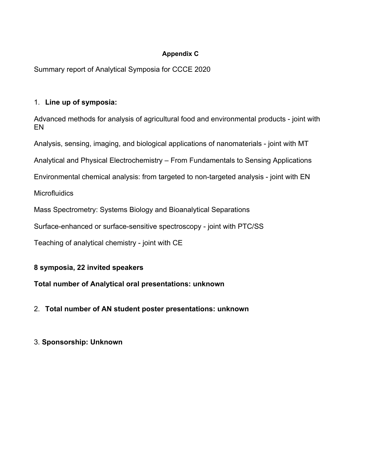## **Appendix C**

Summary report of Analytical Symposia for CCCE 2020

## 1. **Line up of symposia:**

Advanced methods for analysis of agricultural food and environmental products - joint with EN

Analysis, sensing, imaging, and biological applications of nanomaterials - joint with MT

Analytical and Physical Electrochemistry – From Fundamentals to Sensing Applications

Environmental chemical analysis: from targeted to non-targeted analysis - joint with EN

**Microfluidics** 

Mass Spectrometry: Systems Biology and Bioanalytical Separations

Surface-enhanced or surface-sensitive spectroscopy - joint with PTC/SS

Teaching of analytical chemistry - joint with CE

# **8 symposia, 22 invited speakers**

**Total number of Analytical oral presentations: unknown**

# 2. **Total number of AN student poster presentations: unknown**

# 3. **Sponsorship: Unknown**